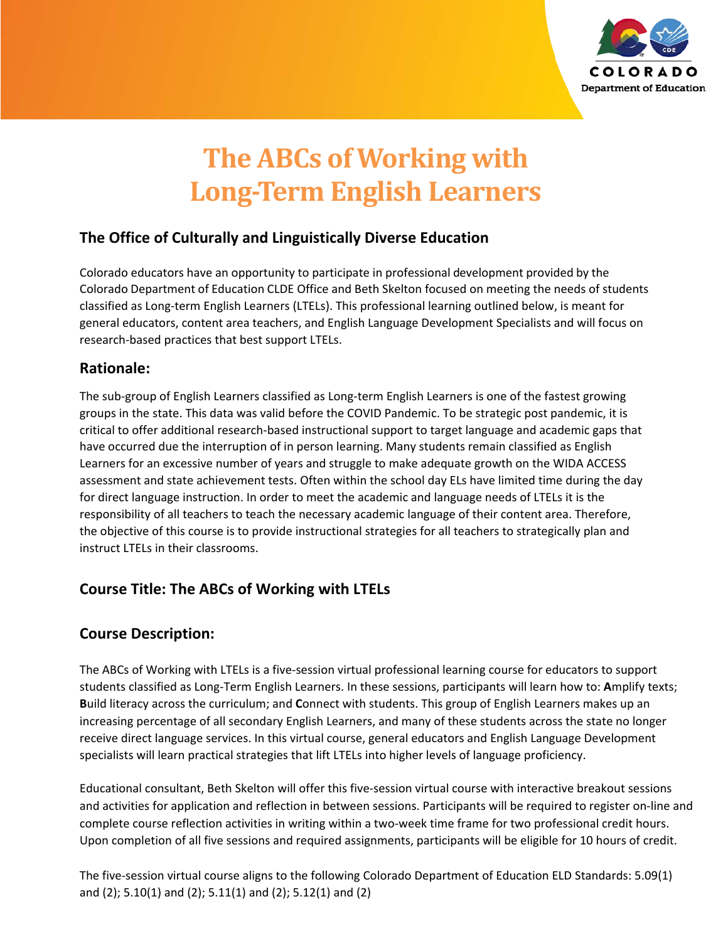

# **The ABCs of Working with Long-Term English Learners**

### **The Office of Culturally and Linguistically Diverse Education**

Colorado educators have an opportunity to participate in professional development provided by the Colorado Department of Education CLDE Office and Beth Skelton focused on meeting the needs of students classified as Long-term English Learners (LTELs). This professional learning outlined below, is meant for general educators, content area teachers, and English Language Development Specialists and will focus on research-based practices that best support LTELs.

### **Rationale:**

The sub-group of English Learners classified as Long-term English Learners is one of the fastest growing groups in the state. This data was valid before the COVID Pandemic. To be strategic post pandemic, it is critical to offer additional research-based instructional support to target language and academic gaps that have occurred due the interruption of in person learning. Many students remain classified as English Learners for an excessive number of years and struggle to make adequate growth on the WIDA ACCESS assessment and state achievement tests. Often within the school day ELs have limited time during the day for direct language instruction. In order to meet the academic and language needs of LTELs it is the responsibility of all teachers to teach the necessary academic language of their content area. Therefore, the objective of this course is to provide instructional strategies for all teachers to strategically plan and instruct LTELs in their classrooms.

### **Course Title: The ABCs of Working with LTELs**

### **Course Description:**

The ABCs of Working with LTELs is a five-session virtual professional learning course for educators to support students classified as Long-Term English Learners. In these sessions, participants will learn how to: **A**mplify texts; **B**uild literacy across the curriculum; and **C**onnect with students. This group of English Learners makes up an increasing percentage of all secondary English Learners, and many of these students across the state no longer receive direct language services. In this virtual course, general educators and English Language Development specialists will learn practical strategies that lift LTELs into higher levels of language proficiency.

Educational consultant, Beth Skelton will offer this five-session virtual course with interactive breakout sessions and activities for application and reflection in between sessions. Participants will be required to register on-line and complete course reflection activities in writing within a two-week time frame for two professional credit hours. Upon completion of all five sessions and required assignments, participants will be eligible for 10 hours of credit.

The five-session virtual course aligns to the following Colorado Department of Education ELD Standards: 5.09(1) and (2); 5.10(1) and (2); 5.11(1) and (2); 5.12(1) and (2)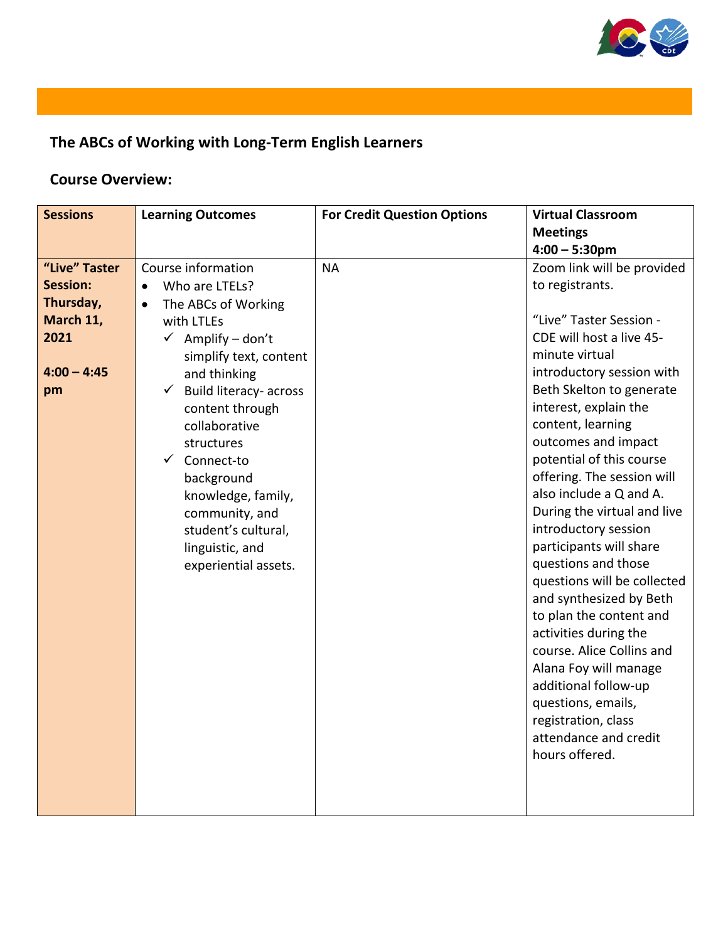

## **The ABCs of Working with Long-Term English Learners**

### **Course Overview:**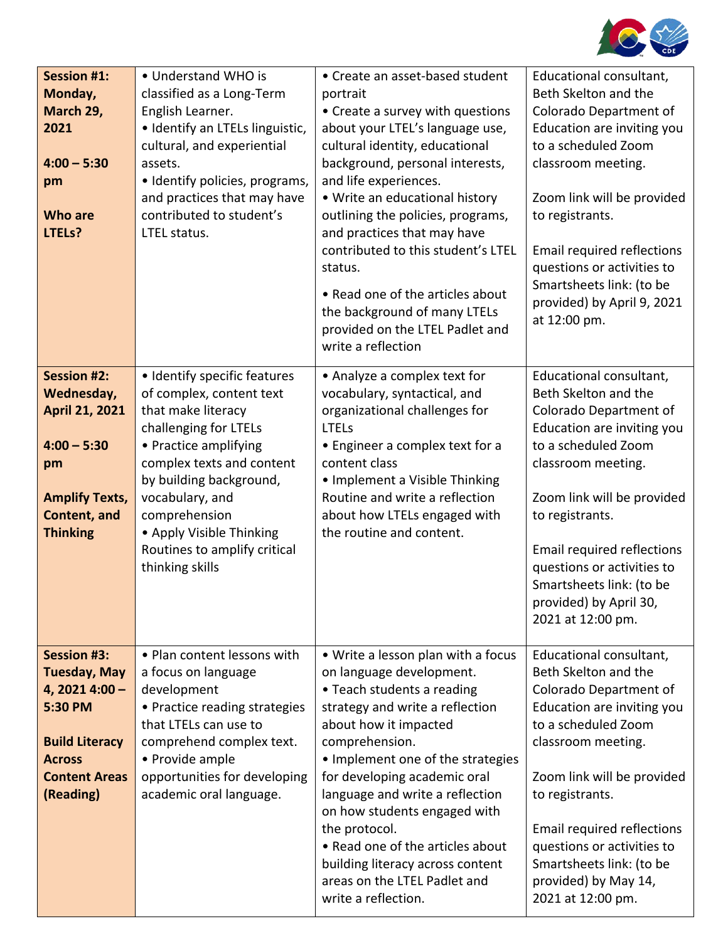

| <b>Session #1:</b><br>Monday,<br>March 29,<br>2021<br>$4:00 - 5:30$<br>pm<br><b>Who are</b><br>LTELs?                                                 | • Understand WHO is<br>classified as a Long-Term<br>English Learner.<br>· Identify an LTELs linguistic,<br>cultural, and experiential<br>assets.<br>• Identify policies, programs,<br>and practices that may have<br>contributed to student's<br>LTEL status.                                               | • Create an asset-based student<br>portrait<br>• Create a survey with questions<br>about your LTEL's language use,<br>cultural identity, educational<br>background, personal interests,<br>and life experiences.<br>• Write an educational history<br>outlining the policies, programs,<br>and practices that may have<br>contributed to this student's LTEL<br>status.<br>• Read one of the articles about<br>the background of many LTELs<br>provided on the LTEL Padlet and<br>write a reflection | Educational consultant,<br>Beth Skelton and the<br>Colorado Department of<br>Education are inviting you<br>to a scheduled Zoom<br>classroom meeting.<br>Zoom link will be provided<br>to registrants.<br><b>Email required reflections</b><br>questions or activities to<br>Smartsheets link: (to be<br>provided) by April 9, 2021<br>at 12:00 pm.  |
|-------------------------------------------------------------------------------------------------------------------------------------------------------|-------------------------------------------------------------------------------------------------------------------------------------------------------------------------------------------------------------------------------------------------------------------------------------------------------------|------------------------------------------------------------------------------------------------------------------------------------------------------------------------------------------------------------------------------------------------------------------------------------------------------------------------------------------------------------------------------------------------------------------------------------------------------------------------------------------------------|-----------------------------------------------------------------------------------------------------------------------------------------------------------------------------------------------------------------------------------------------------------------------------------------------------------------------------------------------------|
| <b>Session #2:</b><br>Wednesday,<br>April 21, 2021<br>$4:00 - 5:30$<br>pm<br><b>Amplify Texts,</b><br>Content, and<br><b>Thinking</b>                 | · Identify specific features<br>of complex, content text<br>that make literacy<br>challenging for LTELs<br>• Practice amplifying<br>complex texts and content<br>by building background,<br>vocabulary, and<br>comprehension<br>• Apply Visible Thinking<br>Routines to amplify critical<br>thinking skills | • Analyze a complex text for<br>vocabulary, syntactical, and<br>organizational challenges for<br><b>LTELs</b><br>• Engineer a complex text for a<br>content class<br>• Implement a Visible Thinking<br>Routine and write a reflection<br>about how LTELs engaged with<br>the routine and content.                                                                                                                                                                                                    | Educational consultant,<br>Beth Skelton and the<br>Colorado Department of<br>Education are inviting you<br>to a scheduled Zoom<br>classroom meeting.<br>Zoom link will be provided<br>to registrants.<br><b>Email required reflections</b><br>questions or activities to<br>Smartsheets link: (to be<br>provided) by April 30,<br>2021 at 12:00 pm. |
| <b>Session #3:</b><br><b>Tuesday, May</b><br>4, 2021 4:00 -<br>5:30 PM<br><b>Build Literacy</b><br><b>Across</b><br><b>Content Areas</b><br>(Reading) | • Plan content lessons with<br>a focus on language<br>development<br>• Practice reading strategies<br>that LTELs can use to<br>comprehend complex text.<br>• Provide ample<br>opportunities for developing<br>academic oral language.                                                                       | • Write a lesson plan with a focus<br>on language development.<br>• Teach students a reading<br>strategy and write a reflection<br>about how it impacted<br>comprehension.<br>• Implement one of the strategies<br>for developing academic oral<br>language and write a reflection<br>on how students engaged with<br>the protocol.<br>• Read one of the articles about<br>building literacy across content<br>areas on the LTEL Padlet and<br>write a reflection.                                   | Educational consultant,<br>Beth Skelton and the<br>Colorado Department of<br>Education are inviting you<br>to a scheduled Zoom<br>classroom meeting.<br>Zoom link will be provided<br>to registrants.<br><b>Email required reflections</b><br>questions or activities to<br>Smartsheets link: (to be<br>provided) by May 14,<br>2021 at 12:00 pm.   |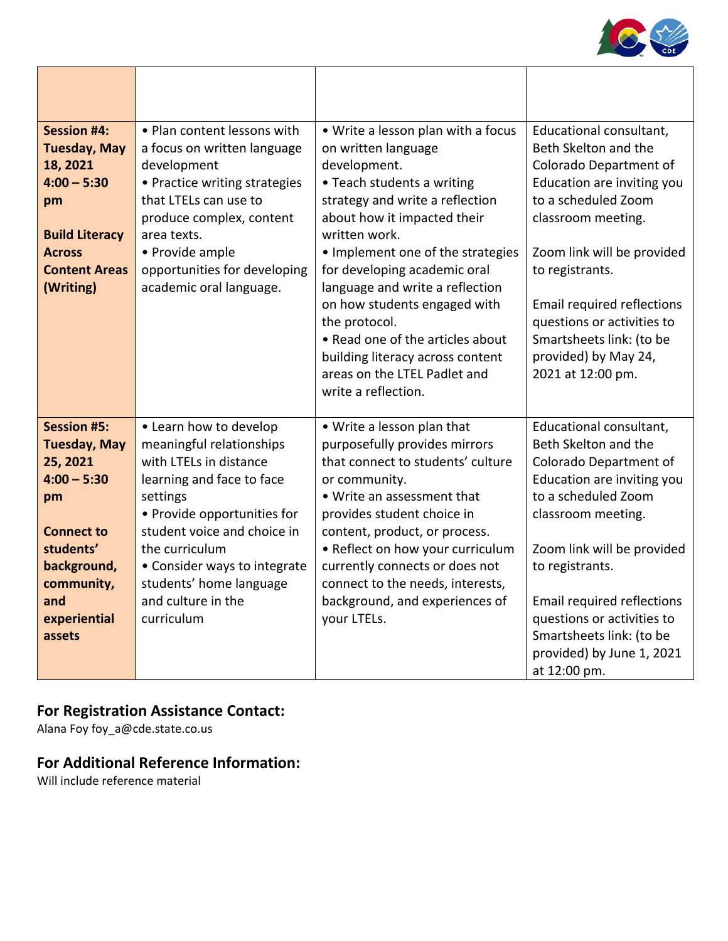

| <b>Session #4:</b><br><b>Tuesday, May</b><br>18, 2021<br>$4:00 - 5:30$<br>pm<br><b>Build Literacy</b><br><b>Across</b><br><b>Content Areas</b><br>(Writing)                  | • Plan content lessons with<br>a focus on written language<br>development<br>• Practice writing strategies<br>that LTELs can use to<br>produce complex, content<br>area texts.<br>• Provide ample<br>opportunities for developing<br>academic oral language.                                         | • Write a lesson plan with a focus<br>on written language<br>development.<br>• Teach students a writing<br>strategy and write a reflection<br>about how it impacted their<br>written work.<br>• Implement one of the strategies<br>for developing academic oral<br>language and write a reflection<br>on how students engaged with<br>the protocol.<br>• Read one of the articles about<br>building literacy across content<br>areas on the LTEL Padlet and<br>write a reflection. | Educational consultant,<br>Beth Skelton and the<br>Colorado Department of<br>Education are inviting you<br>to a scheduled Zoom<br>classroom meeting.<br>Zoom link will be provided<br>to registrants.<br><b>Email required reflections</b><br>questions or activities to<br>Smartsheets link: (to be<br>provided) by May 24,<br>2021 at 12:00 pm. |
|------------------------------------------------------------------------------------------------------------------------------------------------------------------------------|------------------------------------------------------------------------------------------------------------------------------------------------------------------------------------------------------------------------------------------------------------------------------------------------------|------------------------------------------------------------------------------------------------------------------------------------------------------------------------------------------------------------------------------------------------------------------------------------------------------------------------------------------------------------------------------------------------------------------------------------------------------------------------------------|---------------------------------------------------------------------------------------------------------------------------------------------------------------------------------------------------------------------------------------------------------------------------------------------------------------------------------------------------|
| <b>Session #5:</b><br><b>Tuesday, May</b><br>25, 2021<br>$4:00 - 5:30$<br>pm<br><b>Connect to</b><br>students'<br>background,<br>community,<br>and<br>experiential<br>assets | • Learn how to develop<br>meaningful relationships<br>with LTELs in distance<br>learning and face to face<br>settings<br>• Provide opportunities for<br>student voice and choice in<br>the curriculum<br>• Consider ways to integrate<br>students' home language<br>and culture in the<br>curriculum | • Write a lesson plan that<br>purposefully provides mirrors<br>that connect to students' culture<br>or community.<br>• Write an assessment that<br>provides student choice in<br>content, product, or process.<br>• Reflect on how your curriculum<br>currently connects or does not<br>connect to the needs, interests,<br>background, and experiences of<br>your LTELs.                                                                                                          | Educational consultant,<br>Beth Skelton and the<br>Colorado Department of<br>Education are inviting you<br>to a scheduled Zoom<br>classroom meeting.<br>Zoom link will be provided<br>to registrants.<br><b>Email required reflections</b><br>questions or activities to<br>Smartsheets link: (to be<br>provided) by June 1, 2021<br>at 12:00 pm. |

### **For Registration Assistance Contact:**

Alana Foy foy\_a@cde.state.co.us

Г

### **For Additional Reference Information:**

Will include reference material